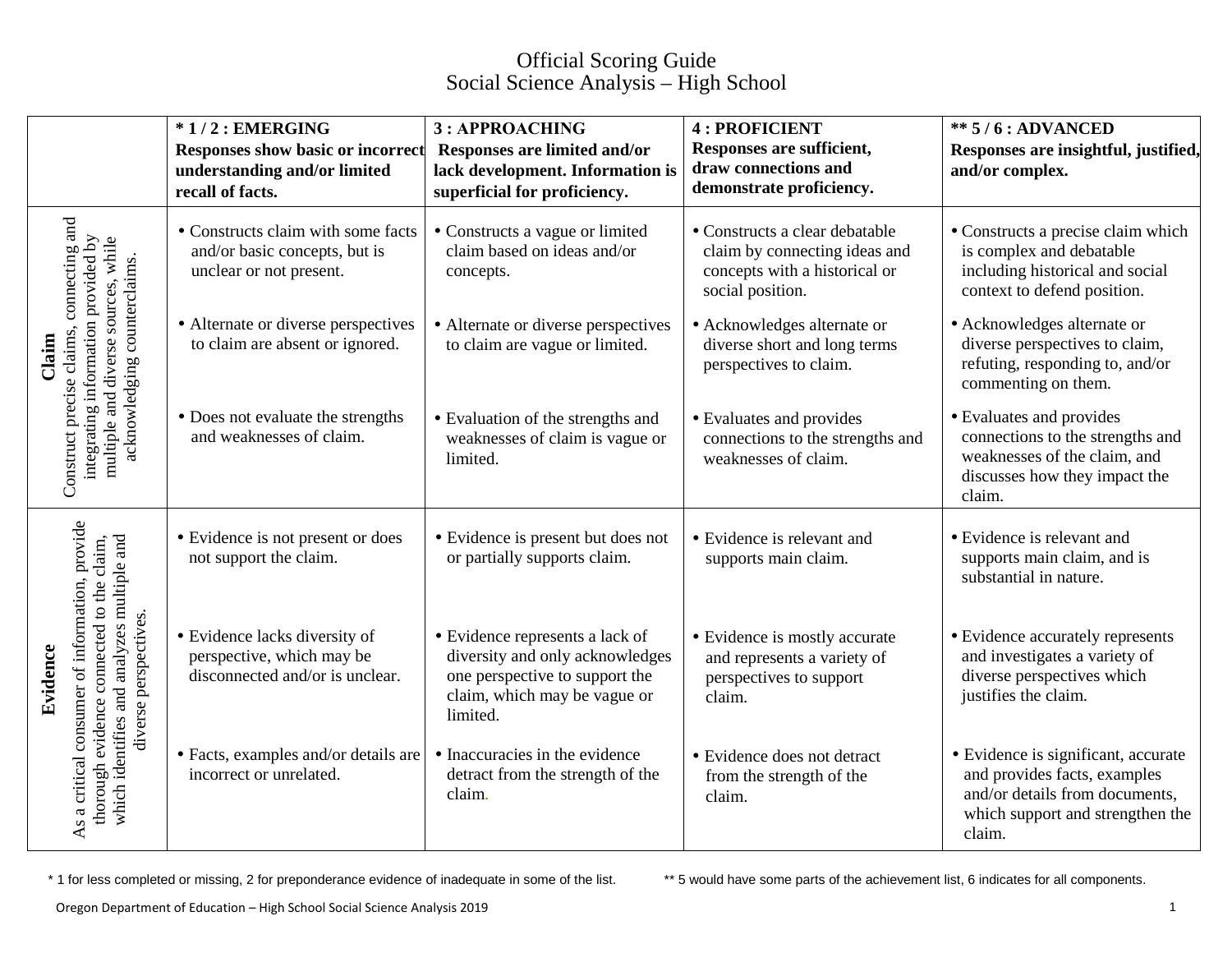## Official Scoring Guide Social Science Analysis – High School

|  |                                                                                                                                                                                | $*1/2$ : EMERGING<br><b>Responses show basic or incorrect</b><br>understanding and/or limited<br>recall of facts. | 3: APPROACHING<br>Responses are limited and/or<br>lack development. Information is<br>superficial for proficiency.                               | <b>4: PROFICIENT</b><br>Responses are sufficient,<br>draw connections and<br>demonstrate proficiency.                | <b>** 5/6: ADVANCED</b><br>Responses are insightful, justified,<br>and/or complex.                                                                  |
|--|--------------------------------------------------------------------------------------------------------------------------------------------------------------------------------|-------------------------------------------------------------------------------------------------------------------|--------------------------------------------------------------------------------------------------------------------------------------------------|----------------------------------------------------------------------------------------------------------------------|-----------------------------------------------------------------------------------------------------------------------------------------------------|
|  | connecting and<br>integrating information provided by<br>multiple and diverse sources, while<br>acknowledging counterclaims.<br>Construct precise claims,<br>Claim             | • Constructs claim with some facts<br>and/or basic concepts, but is<br>unclear or not present.                    | • Constructs a vague or limited<br>claim based on ideas and/or<br>concepts.                                                                      | • Constructs a clear debatable<br>claim by connecting ideas and<br>concepts with a historical or<br>social position. | • Constructs a precise claim which<br>is complex and debatable<br>including historical and social<br>context to defend position.                    |
|  |                                                                                                                                                                                | • Alternate or diverse perspectives<br>to claim are absent or ignored.                                            | • Alternate or diverse perspectives<br>to claim are vague or limited.                                                                            | • Acknowledges alternate or<br>diverse short and long terms<br>perspectives to claim.                                | • Acknowledges alternate or<br>diverse perspectives to claim,<br>refuting, responding to, and/or<br>commenting on them.                             |
|  |                                                                                                                                                                                | • Does not evaluate the strengths<br>and weaknesses of claim.                                                     | • Evaluation of the strengths and<br>weaknesses of claim is vague or<br>limited.                                                                 | • Evaluates and provides<br>connections to the strengths and<br>weaknesses of claim.                                 | • Evaluates and provides<br>connections to the strengths and<br>weaknesses of the claim, and<br>discusses how they impact the<br>claim.             |
|  | As a critical consumer of information, provide<br>thorough evidence connected to the claim,<br>which identifies and analyzes multiple and<br>diverse perspectives.<br>Evidence | • Evidence is not present or does<br>not support the claim.                                                       | • Evidence is present but does not<br>or partially supports claim.                                                                               | • Evidence is relevant and<br>supports main claim.                                                                   | • Evidence is relevant and<br>supports main claim, and is<br>substantial in nature.                                                                 |
|  |                                                                                                                                                                                | • Evidence lacks diversity of<br>perspective, which may be<br>disconnected and/or is unclear.                     | • Evidence represents a lack of<br>diversity and only acknowledges<br>one perspective to support the<br>claim, which may be vague or<br>limited. | • Evidence is mostly accurate<br>and represents a variety of<br>perspectives to support<br>claim.                    | • Evidence accurately represents<br>and investigates a variety of<br>diverse perspectives which<br>justifies the claim.                             |
|  |                                                                                                                                                                                | • Facts, examples and/or details are<br>incorrect or unrelated.                                                   | • Inaccuracies in the evidence<br>detract from the strength of the<br>claim.                                                                     | • Evidence does not detract<br>from the strength of the<br>claim.                                                    | • Evidence is significant, accurate<br>and provides facts, examples<br>and/or details from documents,<br>which support and strengthen the<br>claim. |

\* 1 for less completed or missing, 2 for preponderance evidence of inadequate in some of the list. \*\* 5 would have some parts of the achievement list, 6 indicates for all components.